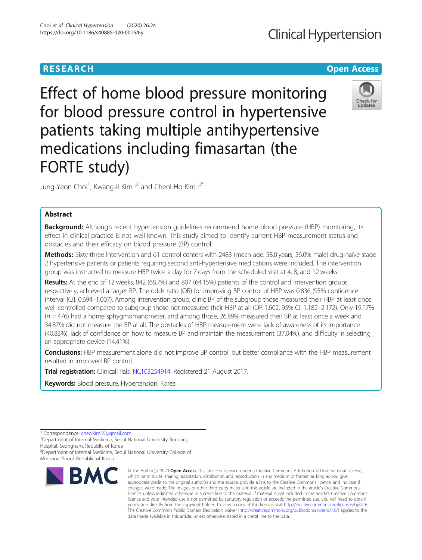# **RESEARCH CHEAR CHEAR CHEAR CHEAR CHEAR CHEAR CHEAR CHEAR CHEAR CHEAR CHEAR CHEAR CHEAR CHEAR CHEAR CHEAR CHEAR**

# **Clinical Hypertension**



Effect of home blood pressure monitoring for blood pressure control in hypertensive patients taking multiple antihypertensive medications including fimasartan (the FORTE study)

Jung-Yeon Choi<sup>1</sup>, Kwang-il Kim<sup>1,2</sup> and Cheol-Ho Kim<sup>1,2\*</sup>

## Abstract

Background: Although recent hypertension guidelines recommend home blood pressure (HBP) monitoring, its effect in clinical practice is not well known. This study aimed to identify current HBP measurement status and obstacles and their efficacy on blood pressure (BP) control.

Methods: Sixty-three intervention and 61 control centers with 2483 (mean age: 58.0 years, 56.0% male) drug-naïve stage 2 hypertensive patients or patients requiring second anti-hypertensive medications were included. The intervention group was instructed to measure HBP twice a day for 7 days from the scheduled visit at 4, 8, and 12 weeks.

Results: At the end of 12 weeks, 842 (68.7%) and 807 (64.15%) patients of the control and intervention groups, respectively, achieved a target BP. The odds ratio (OR) for improving BP control of HBP was 0.836 (95% confidence interval [CI]: 0.694–1.007). Among intervention group, clinic BP of the subgroup those measured their HBP at least once well controlled compared to subgroup those not measured their HBP at all (OR 1.602, 95% CI: 1.182–2.172). Only 19.17%  $(n = 476)$  had a home sphygmomanometer, and among those, 26.89% measured their BP at least once a week and 34.87% did not measure the BP at all. The obstacles of HBP measurement were lack of awareness of its importance (40.83%), lack of confidence on how to measure BP and maintain the measurement (37.04%), and difficulty in selecting an appropriate device (14.41%).

Conclusions: HBP measurement alone did not improve BP control, but better compliance with the HBP measurement resulted in improved BP control.

**Trial registration:** ClinicalTrials, [NCT03254914,](https://clinicaltrials.gov/ct2/show/NCT03254914) Registered 21 August 2017.

Keywords: Blood pressure, Hypertension, Korea

<sup>2</sup> Department of Internal Medicine, Seoul National University College of Medicine, Seoul, Republic of Korea



<sup>©</sup> The Author(s), 2020 **Open Access** This article is licensed under a Creative Commons Attribution 4.0 International License, which permits use, sharing, adaptation, distribution and reproduction in any medium or format, as long as you give appropriate credit to the original author(s) and the source, provide a link to the Creative Commons licence, and indicate if changes were made. The images or other third party material in this article are included in the article's Creative Commons licence, unless indicated otherwise in a credit line to the material. If material is not included in the article's Creative Commons licence and your intended use is not permitted by statutory regulation or exceeds the permitted use, you will need to obtain permission directly from the copyright holder. To view a copy of this licence, visit [http://creativecommons.org/licenses/by/4.0/.](http://creativecommons.org/licenses/by/4.0/) The Creative Commons Public Domain Dedication waiver [\(http://creativecommons.org/publicdomain/zero/1.0/](http://creativecommons.org/publicdomain/zero/1.0/)) applies to the data made available in this article, unless otherwise stated in a credit line to the data.

<sup>\*</sup> Correspondence: [cheolkim55@gmail.com](mailto:cheolkim55@gmail.com) <sup>1</sup>

<sup>&</sup>lt;sup>1</sup>Department of Internal Medicine, Seoul National University Bundang Hospital, Seongnam, Republic of Korea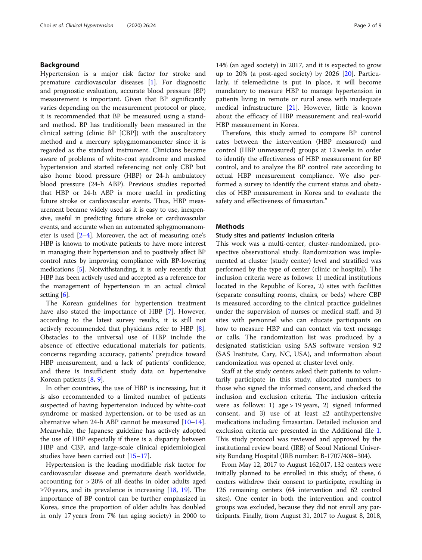### Background

Hypertension is a major risk factor for stroke and premature cardiovascular diseases [\[1](#page-7-0)]. For diagnostic and prognostic evaluation, accurate blood pressure (BP) measurement is important. Given that BP significantly varies depending on the measurement protocol or place, it is recommended that BP be measured using a standard method. BP has traditionally been measured in the clinical setting (clinic BP [CBP]) with the auscultatory method and a mercury sphygmomanometer since it is regarded as the standard instrument. Clinicians became aware of problems of white-coat syndrome and masked hypertension and started referencing not only CBP but also home blood pressure (HBP) or 24-h ambulatory blood pressure (24-h ABP). Previous studies reported that HBP or 24-h ABP is more useful in predicting future stroke or cardiovascular events. Thus, HBP measurement became widely used as it is easy to use, inexpensive, useful in predicting future stroke or cardiovascular events, and accurate when an automated sphygmomanometer is used  $[2-4]$  $[2-4]$  $[2-4]$  $[2-4]$ . Moreover, the act of measuring one's HBP is known to motivate patients to have more interest in managing their hypertension and to positively affect BP control rates by improving compliance with BP-lowering medications [[5](#page-7-0)]. Notwithstanding, it is only recently that HBP has been actively used and accepted as a reference for the management of hypertension in an actual clinical setting [\[6](#page-7-0)].

The Korean guidelines for hypertension treatment have also stated the importance of HBP [\[7\]](#page-7-0). However, according to the latest survey results, it is still not actively recommended that physicians refer to HBP [\[8](#page-7-0)]. Obstacles to the universal use of HBP include the absence of effective educational materials for patients, concerns regarding accuracy, patients' prejudice toward HBP measurement, and a lack of patients' confidence, and there is insufficient study data on hypertensive Korean patients [\[8](#page-7-0), [9](#page-7-0)].

In other countries, the use of HBP is increasing, but it is also recommended to a limited number of patients suspected of having hypertension induced by white-coat syndrome or masked hypertension, or to be used as an alternative when 24-h ABP cannot be measured [[10](#page-7-0)–[14](#page-8-0)]. Meanwhile, the Japanese guideline has actively adopted the use of HBP especially if there is a disparity between HBP and CBP, and large-scale clinical epidemiological studies have been carried out [[15](#page-8-0)–[17](#page-8-0)].

Hypertension is the leading modifiable risk factor for cardiovascular disease and premature death worldwide, accounting for > 20% of all deaths in older adults aged  $\geq$ 70 years, and its prevalence is increasing [\[18](#page-8-0), [19\]](#page-8-0). The importance of BP control can be further emphasized in Korea, since the proportion of older adults has doubled in only 17 years from 7% (an aging society) in 2000 to

14% (an aged society) in 2017, and it is expected to grow up to 20% (a post-aged society) by 2026 [\[20](#page-8-0)]. Particularly, if telemedicine is put in place, it will become mandatory to measure HBP to manage hypertension in patients living in remote or rural areas with inadequate medical infrastructure [[21\]](#page-8-0). However, little is known about the efficacy of HBP measurement and real-world HBP measurement in Korea.

Therefore, this study aimed to compare BP control rates between the intervention (HBP measured) and control (HBP unmeasured) groups at 12 weeks in order to identify the effectiveness of HBP measurement for BP control, and to analyze the BP control rate according to actual HBP measurement compliance. We also performed a survey to identify the current status and obstacles of HBP measurement in Korea and to evaluate the safety and effectiveness of fimasartan."

#### Methods

#### Study sites and patients' inclusion criteria

This work was a multi-center, cluster-randomized, prospective observational study. Randomization was implemented at cluster (study center) level and stratified was performed by the type of center (clinic or hospital). The inclusion criteria were as follows: 1) medical institutions located in the Republic of Korea, 2) sites with facilities (separate consulting rooms, chairs, or beds) where CBP is measured according to the clinical practice guidelines under the supervision of nurses or medical staff, and 3) sites with personnel who can educate participants on how to measure HBP and can contact via text message or calls. The randomization list was produced by a designated statistician using SAS software version 9.2 (SAS Institute, Cary, NC, USA), and information about randomization was opened at cluster level only.

Staff at the study centers asked their patients to voluntarily participate in this study, allocated numbers to those who signed the informed consent, and checked the inclusion and exclusion criteria. The inclusion criteria were as follows: 1) age > 19 years, 2) signed informed consent, and 3) use of at least  $\geq 2$  antihypertensive medications including fimasartan. Detailed inclusion and exclusion criteria are presented in the Additional file [1](#page-7-0). This study protocol was reviewed and approved by the institutional review board (IRB) of Seoul National University Bundang Hospital (IRB number: B-1707/408–304).

From May 12, 2017 to August 162,017, 132 centers were initially planned to be enrolled in this study; of these, 6 centers withdrew their consent to participate, resulting in 126 remaining centers (64 intervention and 62 control sites). One center in both the intervention and control groups was excluded, because they did not enroll any participants. Finally, from August 31, 2017 to August 8, 2018,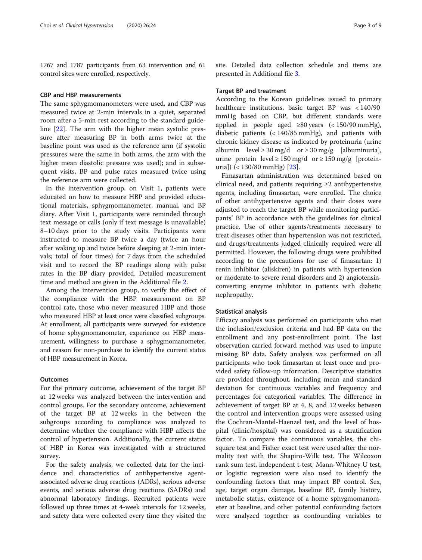1767 and 1787 participants from 63 intervention and 61 control sites were enrolled, respectively.

#### CBP and HBP measurements

The same sphygmomanometers were used, and CBP was measured twice at 2-min intervals in a quiet, separated room after a 5-min rest according to the standard guideline [\[22\]](#page-8-0). The arm with the higher mean systolic pressure after measuring BP in both arms twice at the baseline point was used as the reference arm (if systolic pressures were the same in both arms, the arm with the higher mean diastolic pressure was used); and in subsequent visits, BP and pulse rates measured twice using the reference arm were collected.

In the intervention group, on Visit 1, patients were educated on how to measure HBP and provided educational materials, sphygmomanometer, manual, and BP diary. After Visit 1, participants were reminded through text message or calls (only if text message is unavailable) 8–10 days prior to the study visits. Participants were instructed to measure BP twice a day (twice an hour after waking up and twice before sleeping at 2-min intervals; total of four times) for 7 days from the scheduled visit and to record the BP readings along with pulse rates in the BP diary provided. Detailed measurement time and method are given in the Additional file [2](#page-7-0).

Among the intervention group, to verify the effect of the compliance with the HBP measurement on BP control rate, those who never measured HBP and those who measured HBP at least once were classified subgroups. At enrollment, all participants were surveyed for existence of home sphygmomanometer, experience on HBP measurement, willingness to purchase a sphygmomanometer, and reason for non-purchase to identify the current status of HBP measurement in Korea.

#### **Outcomes**

For the primary outcome, achievement of the target BP at 12 weeks was analyzed between the intervention and control groups. For the secondary outcome, achievement of the target BP at 12 weeks in the between the subgroups according to compliance was analyzed to determine whether the compliance with HBP affects the control of hypertension. Additionally, the current status of HBP in Korea was investigated with a structured survey.

For the safety analysis, we collected data for the incidence and characteristics of antihypertensive agentassociated adverse drug reactions (ADRs), serious adverse events, and serious adverse drug reactions (SADRs) and abnormal laboratory findings. Recruited patients were followed up three times at 4-week intervals for 12 weeks, and safety data were collected every time they visited the site. Detailed data collection schedule and items are presented in Additional file [3](#page-7-0).

#### Target BP and treatment

According to the Korean guidelines issued to primary healthcare institutions, basic target BP was < 140/90 mmHg based on CBP, but different standards were applied in people aged ≥80 years  $\left($  < 150/90 mmHg), diabetic patients (< 140/85 mmHg), and patients with chronic kidney disease as indicated by proteinuria (urine albumin level  $\geq$  30 mg/d or  $\geq$  30 mg/g [albuminuria], urine protein level  $\geq 150$  mg/d or  $\geq 150$  mg/g [proteinuria]) (< 130/80 mmHg) [\[23](#page-8-0)].

Fimasartan administration was determined based on clinical need, and patients requiring  $\geq 2$  antihypertensive agents, including fimasartan, were enrolled. The choice of other antihypertensive agents and their doses were adjusted to reach the target BP while monitoring participants' BP in accordance with the guidelines for clinical practice. Use of other agents/treatments necessary to treat diseases other than hypertension was not restricted, and drugs/treatments judged clinically required were all permitted. However, the following drugs were prohibited according to the precautions for use of fimasartan: 1) renin inhibitor (aliskiren) in patients with hypertension or moderate-to-severe renal disorders and 2) angiotensinconverting enzyme inhibitor in patients with diabetic nephropathy.

#### Statistical analysis

Efficacy analysis was performed on participants who met the inclusion/exclusion criteria and had BP data on the enrollment and any post-enrollment point. The last observation carried forward method was used to impute missing BP data. Safety analysis was performed on all participants who took fimasartan at least once and provided safety follow-up information. Descriptive statistics are provided throughout, including mean and standard deviation for continuous variables and frequency and percentages for categorical variables. The difference in achievement of target BP at 4, 8, and 12 weeks between the control and intervention groups were assessed using the Cochran-Mantel-Haenzel test, and the level of hospital (clinic/hospital) was considered as a stratification factor. To compare the continuous variables, the chisquare test and Fisher exact test were used after the normality test with the Shapiro-Wilk test. The Wilcoxon rank sum test, independent t-test, Mann-Whitney U test, or logistic regression were also used to identify the confounding factors that may impact BP control. Sex, age, target organ damage, baseline BP, family history, metabolic status, existence of a home sphygmomanometer at baseline, and other potential confounding factors were analyzed together as confounding variables to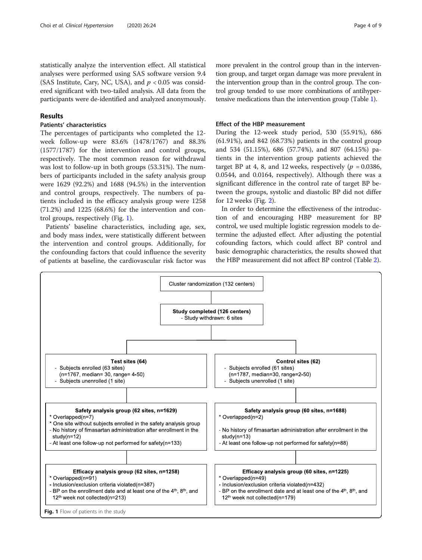statistically analyze the intervention effect. All statistical analyses were performed using SAS software version 9.4 (SAS Institute, Cary, NC, USA), and  $p < 0.05$  was considered significant with two-tailed analysis. All data from the participants were de-identified and analyzed anonymously.

#### Results

#### Patients' characteristics

The percentages of participants who completed the 12 week follow-up were 83.6% (1478/1767) and 88.3% (1577/1787) for the intervention and control groups, respectively. The most common reason for withdrawal was lost to follow-up in both groups (53.31%). The numbers of participants included in the safety analysis group were 1629 (92.2%) and 1688 (94.5%) in the intervention and control groups, respectively. The numbers of patients included in the efficacy analysis group were 1258 (71.2%) and 1225 (68.6%) for the intervention and control groups, respectively (Fig. 1).

Patients' baseline characteristics, including age, sex, and body mass index, were statistically different between the intervention and control groups. Additionally, for the confounding factors that could influence the severity of patients at baseline, the cardiovascular risk factor was more prevalent in the control group than in the intervention group, and target organ damage was more prevalent in the intervention group than in the control group. The control group tended to use more combinations of antihypertensive medications than the intervention group (Table [1](#page-4-0)).

#### Effect of the HBP measurement

During the 12-week study period, 530 (55.91%), 686 (61.91%), and 842 (68.73%) patients in the control group and 534 (51.15%), 686 (57.74%), and 807 (64.15%) patients in the intervention group patients achieved the target BP at 4, 8, and 12 weeks, respectively ( $p = 0.0386$ , 0.0544, and 0.0164, respectively). Although there was a significant difference in the control rate of target BP between the groups, systolic and diastolic BP did not differ for 12 weeks (Fig. [2\)](#page-5-0).

In order to determine the effectiveness of the introduction of and encouraging HBP measurement for BP control, we used multiple logistic regression models to determine the adjusted effect. After adjusting the potential cofounding factors, which could affect BP control and basic demographic characteristics, the results showed that the HBP measurement did not affect BP control (Table [2](#page-5-0)).

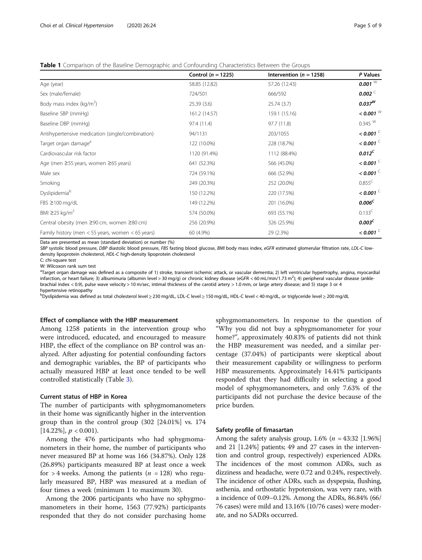<span id="page-4-0"></span>

|  |  | <b>Table 1</b> Comparison of the Baseline Demographic and Confounding Characteristics Between the Groups |  |
|--|--|----------------------------------------------------------------------------------------------------------|--|
|  |  |                                                                                                          |  |

|                                                       | Control ( $n = 1225$ ) | Intervention ( $n = 1258$ ) | P Values             |
|-------------------------------------------------------|------------------------|-----------------------------|----------------------|
| Age (year)                                            | 58.85 (12.82)          | 57.26 (12.43)               | 0.001 $W$            |
| Sex (male/female)                                     | 724/501                | 666/592                     | 0.002                |
| Body mass index ( $kg/m2$ )                           | 25.39(3.6)             | 25.74(3.7)                  | $0.037^{W}$          |
| Baseline SBP (mmHg)                                   | 161.2 (14.57)          | 159.1 (15.16)               | $<$ 0.001 $^{\rm W}$ |
| Baseline DBP (mmHg)                                   | 97.4 (11.4)            | 97.7 (11.8)                 | 0.345 W              |
| Antihypertensive medication (single/combination)      | 94/1131                | 203/1055                    | $<$ 0.001 $\leq$     |
| Target organ damage <sup>a</sup>                      | 122 (10.0%)            | 228 (18.7%)                 | $<$ 0.001 $\degree$  |
| Cardiovascular risk factor                            | 1120 (91.4%)           | 1112 (88.4%)                | $0.012^C$            |
| Age (men ≥55 years, women ≥65 years)                  | 641 (52.3%)            | 566 (45.0%)                 | $<$ 0.001 $\leq$     |
| Male sex                                              | 724 (59.1%)            | 666 (52.9%)                 | $<$ 0.001 $\degree$  |
| Smoking                                               | 249 (20.3%)            | 252 (20.0%)                 | $0.855^C$            |
| Dyslipidemiab                                         | 150 (12.2%)            | 220 (17.5%)                 | $<$ 0.001 $\leq$     |
| FBS ≥100 mg/dL                                        | 149 (12.2%)            | 201 (16.0%)                 | $0.006^C$            |
| BMI $\geq$ 25 kg/m <sup>2</sup>                       | 574 (50.0%)            | 693 (55.1%)                 | $0.133^C$            |
| Central obesity (men ≥90 cm, women ≥80 cm)            | 256 (20.9%)            | 326 (25.9%)                 | 0.003 <sup>C</sup>   |
| Family history (men $<$ 55 years, women $<$ 65 years) | 60 (4.9%)              | 29 (2.3%)                   | $<$ 0.001 $\degree$  |

Data are presented as mean (standard deviation) or number (%)

SBP systolic blood pressure, DBP diastolic blood pressure, FBS fasting blood glucose, BMI body mass index, eGFR estimated glomerular filtration rate, LDL-C lowdensity lipoprotein cholesterol, HDL-C high-density lipoprotein cholesterol

C: chi-square test

W: Wilcoxon rank sum test

<sup>a</sup>Target organ damage was defined as a composite of 1) stroke, transient ischemic attack, or vascular dementia; 2) left ventricular hypertrophy, angina, myocardial infarction, or heart failure; 3) albuminuria (albumin level > 30 mg/g) or chronic kidney disease (eGFR < 60 mL/min/1.73 m2 ); 4) peripheral vascular disease (anklebrachial index < 0.9), pulse wave velocity > 10 m/sec, intimal thickness of the carotid artery > 1.0 mm, or large artery disease; and 5) stage 3 or 4 hypertensive retinopathy

<sup>b</sup>Dyslipidemia was defined as total cholesterol level ≥ 230 mg/dL, LDL-C level ≥ 150 mg/dL, HDL-C level < 40 mg/dL, or triglyceride level ≥ 200 mg/dL

#### Effect of compliance with the HBP measurement

Among 1258 patients in the intervention group who were introduced, educated, and encouraged to measure HBP, the effect of the compliance on BP control was analyzed. After adjusting for potential confounding factors and demographic variables, the BP of participants who actually measured HBP at least once tended to be well controlled statistically (Table [3](#page-6-0)).

#### Current status of HBP in Korea

The number of participants with sphygmomanometers in their home was significantly higher in the intervention group than in the control group (302 [24.01%] vs. 174  $[14.22\%]$ ,  $p < 0.001$ ).

Among the 476 participants who had sphygmomanometers in their home, the number of participants who never measured BP at home was 166 (34.87%). Only 128 (26.89%) participants measured BP at least once a week for  $>$  4 weeks. Among the patients ( $n = 128$ ) who regularly measured BP, HBP was measured at a median of four times a week (minimum 1 to maximum 30).

Among the 2006 participants who have no sphygmomanometers in their home, 1563 (77.92%) participants responded that they do not consider purchasing home

sphygmomanometers. In response to the question of "Why you did not buy a sphygmomanometer for your home?", approximately 40.83% of patients did not think the HBP measurement was needed, and a similar percentage (37.04%) of participants were skeptical about their measurement capability or willingness to perform HBP measurements. Approximately 14.41% participants responded that they had difficulty in selecting a good model of sphygmomanometers, and only 7.63% of the participants did not purchase the device because of the price burden.

#### Safety profile of fimasartan

Among the safety analysis group,  $1.6\%$  ( $n = 43:32$  [1.96%] and 21 [1.24%] patients; 49 and 27 cases in the intervention and control group, respectively) experienced ADRs. The incidences of the most common ADRs, such as dizziness and headache, were 0.72 and 0.24%, respectively. The incidence of other ADRs, such as dyspepsia, flushing, asthenia, and orthostatic hypotension, was very rare, with a incidence of 0.09–0.12%. Among the ADRs, 86.84% (66/ 76 cases) were mild and 13.16% (10/76 cases) were moderate, and no SADRs occurred.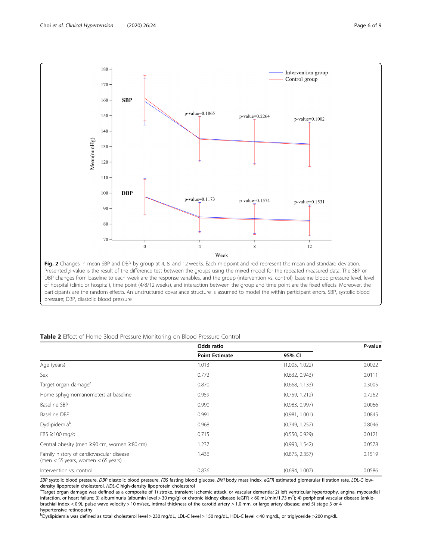<span id="page-5-0"></span>

pressure; DBP, diastolic blood pressure

|                                                                                    | Odds ratio            |                | P-value |
|------------------------------------------------------------------------------------|-----------------------|----------------|---------|
|                                                                                    | <b>Point Estimate</b> | 95% CI         |         |
| Age (years)                                                                        | 1.013                 | (1.005, 1.022) | 0.0022  |
| Sex                                                                                | 0.772                 | (0.632, 0.943) | 0.0111  |
| Target organ damage <sup>a</sup>                                                   | 0.870                 | (0.668, 1.133) | 0.3005  |
| Home sphygmomanometers at baseline                                                 | 0.959                 | (0.759, 1.212) | 0.7262  |
| Baseline SBP                                                                       | 0.990                 | (0.983, 0.997) | 0.0066  |
| Baseline DBP                                                                       | 0.991                 | (0.981, 1.001) | 0.0845  |
| Dyslipidemia <sup>b</sup>                                                          | 0.968                 | (0.749, 1.252) | 0.8046  |
| $FBS \ge 100$ mg/dL                                                                | 0.715                 | (0.550, 0.929) | 0.0121  |
| Central obesity (men ≥90 cm, women ≥80 cm)                                         | 1.237                 | (0.993, 1.542) | 0.0578  |
| Family history of cardiovascular disease<br>(men $<$ 55 years, women $<$ 65 years) | 1.436                 | (0.875, 2.357) | 0.1519  |
| Intervention vs. control                                                           | 0.836                 | (0.694, 1.007) | 0.0586  |

SBP systolic blood pressure, DBP diastolic blood pressure, FBS fasting blood glucose, BMI body mass index, eGFR estimated glomerular filtration rate, LDL-C lowdensity lipoprotein cholesterol, HDL-C high-density lipoprotein cholesterol

<sup>a</sup>Target organ damage was defined as a composite of 1) stroke, transient ischemic attack, or vascular dementia; 2) left ventricular hypertrophy, angina, myocardial infarction, or heart failure; 3) albuminuria (albumin level > 30 mg/g) or chronic kidney disease (eGFR < 60 mL/min/1.73 m2 ); 4) peripheral vascular disease (anklebrachial index < 0.9), pulse wave velocity > 10 m/sec, intimal thickness of the carotid artery > 1.0 mm, or large artery disease; and 5) stage 3 or 4 hypertensive retinopathy

<sup>b</sup>Dyslipidemia was defined as total cholesterol level ≥ 230 mg/dL, LDL-C level ≥ 150 mg/dL, HDL-C level < 40 mg/dL, or triglyceride ≥200 mg/dL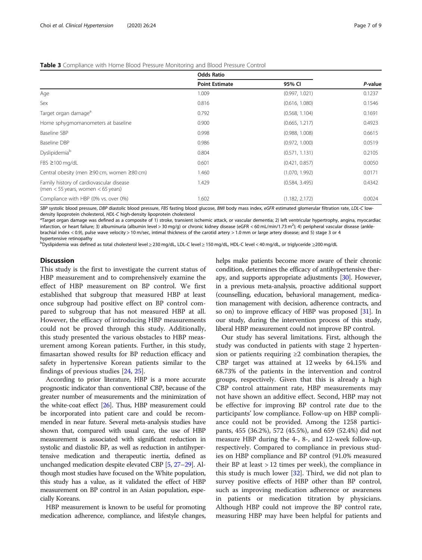|                                                                                    | <b>Odds Ratio</b>     |                |         |
|------------------------------------------------------------------------------------|-----------------------|----------------|---------|
|                                                                                    | <b>Point Estimate</b> | 95% CI         | P-value |
| Age                                                                                | 1.009                 | (0.997, 1.021) | 0.1237  |
| Sex                                                                                | 0.816                 | (0.616, 1.080) | 0.1546  |
| Target organ damage <sup>a</sup>                                                   | 0.792                 | (0.568, 1.104) | 0.1691  |
| Home sphygmomanometers at baseline                                                 | 0.900                 | (0.665, 1.217) | 0.4923  |
| Baseline SBP                                                                       | 0.998                 | (0.988, 1.008) | 0.6615  |
| Baseline DBP                                                                       | 0.986                 | (0.972, 1.000) | 0.0519  |
| Dyslipidemiab                                                                      | 0.804                 | (0.571, 1.131) | 0.2105  |
| FBS ≥100 mg/dL                                                                     | 0.601                 | (0.421, 0.857) | 0.0050  |
| Central obesity (men ≥90 cm, women ≥80 cm)                                         | 1.460                 | (1.070, 1.992) | 0.0171  |
| Family history of cardiovascular disease<br>(men $<$ 55 years, women $<$ 65 years) | 1.429                 | (0.584, 3.495) | 0.4342  |
| Compliance with HBP (0% vs. over 0%)                                               | 1.602                 | (1.182, 2.172) | 0.0024  |

#### <span id="page-6-0"></span>Table 3 Compliance with Home Blood Pressure Monitoring and Blood Pressure Control

SBP systolic blood pressure, DBP diastolic blood pressure, FBS fasting blood glucose, BMI body mass index, eGFR estimated glomerular filtration rate, LDL-C low density lipoprotein cholesterol, HDL-C high-density lipoprotein cholesterol

<sup>a</sup>Target organ damage was defined as a composite of 1) stroke, transient ischemic attack, or vascular dementia; 2) left ventricular hypertrophy, angina, myocardiac infarction, or heart failure; 3) albuminuria (albumin level > 30 mg/g) or chronic kidney disease (eGFR < 60 mL/min/1.73 m2 ); 4) peripheral vascular disease (anklebrachial index < 0.9), pulse wave velocity > 10 m/sec, intimal thickness of the carotid artery > 1.0 mm or large artery disease; and 5) stage 3 or 4 hypertensive retinopathy

<sup>b</sup>Dyslipidemia was defined as total cholesterol level ≥ 230 mg/dL, LDL-C level ≥ 150 mg/dL, HDL-C level < 40 mg/dL, or triglyceride ≥200 mg/dL

#### **Discussion**

This study is the first to investigate the current status of HBP measurement and to comprehensively examine the effect of HBP measurement on BP control. We first established that subgroup that measured HBP at least once subgroup had positive effect on BP control compared to subgroup that has not measured HBP at all. However, the efficacy of introducing HBP measurements could not be proved through this study. Additionally, this study presented the various obstacles to HBP measurement among Korean patients. Further, in this study, fimasartan showed results for BP reduction efficacy and safety in hypertensive Korean patients similar to the findings of previous studies [[24,](#page-8-0) [25\]](#page-8-0).

According to prior literature, HBP is a more accurate prognostic indicator than conventional CBP, because of the greater number of measurements and the minimization of the white-coat effect [\[26\]](#page-8-0). Thus, HBP measurement could be incorporated into patient care and could be recommended in near future. Several meta-analysis studies have shown that, compared with usual care, the use of HBP measurement is associated with significant reduction in systolic and diastolic BP, as well as reduction in antihypertensive medication and therapeutic inertia, defined as unchanged medication despite elevated CBP [\[5,](#page-7-0) [27](#page-8-0)–[29](#page-8-0)]. Although most studies have focused on the White population, this study has a value, as it validated the effect of HBP measurement on BP control in an Asian population, especially Koreans.

HBP measurement is known to be useful for promoting medication adherence, compliance, and lifestyle changes, helps make patients become more aware of their chronic condition, determines the efficacy of antihypertensive ther-apy, and supports appropriate adjustments [\[30](#page-8-0)]. However, in a previous meta-analysis, proactive additional support (counselling, education, behavioral management, medication management with decision, adherence contracts, and so on) to improve efficacy of HBP was proposed [[31](#page-8-0)]. In our study, during the intervention process of this study, liberal HBP measurement could not improve BP control.

Our study has several limitations. First, although the study was conducted in patients with stage 2 hypertension or patients requiring  $\geq 2$  combination therapies, the CBP target was attained at 12 weeks by 64.15% and 68.73% of the patients in the intervention and control groups, respectively. Given that this is already a high CBP control attainment rate, HBP measurements may not have shown an additive effect. Second, HBP may not be effective for improving BP control rate due to the participants' low compliance. Follow-up on HBP compliance could not be provided. Among the 1258 participants, 455 (36.2%), 572 (45.5%), and 659 (52.4%) did not measure HBP during the 4-, 8-, and 12-week follow-up, respectively. Compared to compliance in previous studies on HBP compliance and BP control (91.0% measured their BP at least > 12 times per week), the compliance in this study is much lower [[32\]](#page-8-0). Third, we did not plan to survey positive effects of HBP other than BP control, such as improving medication adherence or awareness in patients or medication titration by physicians. Although HBP could not improve the BP control rate, measuring HBP may have been helpful for patients and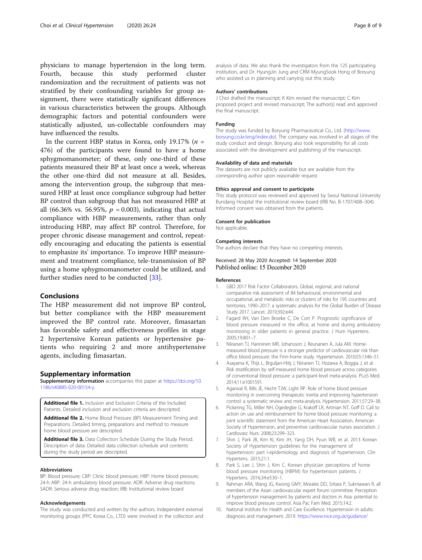<span id="page-7-0"></span>physicians to manage hypertension in the long term. Fourth, because this study performed cluster randomization and the recruitment of patients was not stratified by their confounding variables for group assignment, there were statistically significant differences in various characteristics between the groups. Although demographic factors and potential confounders were statistically adjusted, un-collectable confounders may have influenced the results.

In the current HBP status in Korea, only 19.17% ( $n =$ 476) of the participants were found to have a home sphygmomanometer; of these, only one-third of these patients measured their BP at least once a week, whereas the other one-third did not measure at all. Besides, among the intervention group, the subgroup that measured HBP at least once compliance subgroup had better BP control than subgroup that has not measured HBP at all (66.36% vs. 56.95%,  $p = 0.003$ ), indicating that actual compliance with HBP measurements, rather than only introducing HBP, may affect BP control. Therefore, for proper chronic disease management and control, repeatedly encouraging and educating the patients is essential to emphasize its' importance. To improve HBP measurement and treatment compliance, tele-transmission of BP using a home sphygmomanometer could be utilized, and further studies need to be conducted [[33\]](#page-8-0).

#### Conclusions

The HBP measurement did not improve BP control, but better compliance with the HBP measurement improved the BP control rate. Moreover, fimasartan has favorable safety and effectiveness profiles in stage 2 hypertensive Korean patients or hypertensive patients who requiring 2 and more antihypertensive agents, including fimasartan.

#### Supplementary information

Supplementary information accompanies this paper at [https://doi.org/10.](https://doi.org/10.1186/s40885-020-00154-y) [1186/s40885-020-00154-y](https://doi.org/10.1186/s40885-020-00154-y).

Additional file 1. Inclusion and Exclusion Criteria of the Included Patients. Detailed inclusion and exclusion criteria are descripted.

Additional file 2. Home Blood Pressure (BP) Measurement Timing and Preparations. Detailed timing, preparations and method to measure home blood pressure are descripted.

Additional file 3. Data Collection Schedule During the Study Period. Description of data: Detailed data collection schedule and contents during the study period are descripted.

#### Abbreviations

BP: Blood pressure; CBP: Clinic blood pressure; HBP: Home blood pressure; 24-h ABP: 24-h ambulatory blood pressure; ADR: Adverse drug reactions; SADR: Serious adverse drug reaction; IRB: Institutional review board

#### Acknowledgements

The study was conducted and written by the authors. Independent external monitoring groups (PPC Korea Co., LTD) were involved in the collection and analysis of data. We also thank the investigators from the 125 participating institution, and Dr. HyungJin Jung and CRM MyungSook Hong of Boryung who assisted us in planning and carrying out this study.

#### Authors' contributions

J Choi drafted the manuscript; K Kim revised the manuscript; C Kim proposed project and revised manuscript; The author(s) read and approved the final manuscript.

#### Funding

The study was funded by Boryung Pharmaceutical Co., Ltd. [\(http://www.](http://www.boryung.co.kr/eng/index.do) [boryung.co.kr/eng/index.do\)](http://www.boryung.co.kr/eng/index.do). The company was involved in all stages of the study conduct and design. Boryung also took responsibility for all costs associated with the development and publishing of the manuscript.

#### Availability of data and materials

The datasets are not publicly available but are available from the corresponding author upon reasonable request.

#### Ethics approval and consent to participate

This study protocol was reviewed and approved by Seoul National University Bundang Hospital the institutional review board (IRB No. B-1707/408–304). Informed consent was obtained from the patients.

#### Consent for publication

Not applicable.

#### Competing interests

The authors declare that they have no competing interests.

#### Received: 28 May 2020 Accepted: 14 September 2020 Published online: 15 December 2020

#### References

- 1. GBD 2017 Risk Factor Collaborators. Global, regional, and national comparative risk assessment of 84 behavioural, environmental and occupational, and metabolic risks or clusters of risks for 195 countries and territories, 1990–2017: a systematic analysis for the Global Burden of Disease Study 2017. Lancet. 2019;392:e44.
- 2. Fagard RH, Van Den Broeke C, De Cort P. Prognostic significance of blood pressure measured in the office, at home and during ambulatory monitoring in older patients in general practice. J Hum Hypertens. 2005;19:801–7.
- 3. Niiranen TJ, Hanninen MR, Johansson J, Reunanen A, Jula AM. Homemeasured blood pressure is a stronger predictor of cardiovascular risk than office blood pressure: the Finn-home study. Hypertension. 2010;55:1346–51.
- 4. Asayama K, Thijs L, Brguljan-Hitij J, Niiranen TJ, Hozawa A, Boggia J, et al. Risk stratification by self-measured home blood pressure across categories of conventional blood pressure: a participant-level meta-analysis. PLoS Med. 2014;11:e1001591.
- 5. Agarwal R, Bills JE, Hecht TJW, Light RP. Role of home blood pressure monitoring in overcoming therapeutic inertia and improving hypertension control: a systematic review and meta-analysis. Hypertension. 2011;57:29–38.
- 6. Pickering TG, Miller NH, Ogedegbe G, Krakoff LR, Artinian NT, Goff D. Call to action on use and reimbursement for home blood pressure monitoring: a joint scientific statement from the American Heart Association, American Society of Hypertension, and preventive cardiovascular nurses association. J Cardiovasc Nurs. 2008;23:299–323.
- 7. Shin J, Park JB, Kim KI, Kim JH, Yang DH, Pyun WB, et al. 2013 Korean Society of Hypertension guidelines for the management of hypertension: part I-epidemiology and diagnosis of hypertension. Clin Hypertens. 2015;21:1.
- 8. Park S, Lee J, Shin J, Kim C. Korean physician perceptions of home blood pressure monitoring (HBPM) for hypertension patients. J Hypertens. 2016;34:e530–1.
- 9. Rahman ARA, Wang JG, Kwong GMY, Morales DD, Sritara P, Sukmawan R, all members of the Asian cardiovascular expert forum committee. Perception of hypertension management by patients and doctors in Asia: potential to improve blood pressure control. Asia Pac Fam Med. 2015;14:2.
- 10. National Institute for Health and Care Excellence. Hypertension in adults: diagnosis and management. 2019. [https://www.nice.org.uk/guidance/](https://www.nice.org.uk/guidance/ng136/resources/hypertension-in-adults-diagnosis-and-management-pdf-66141722710213)